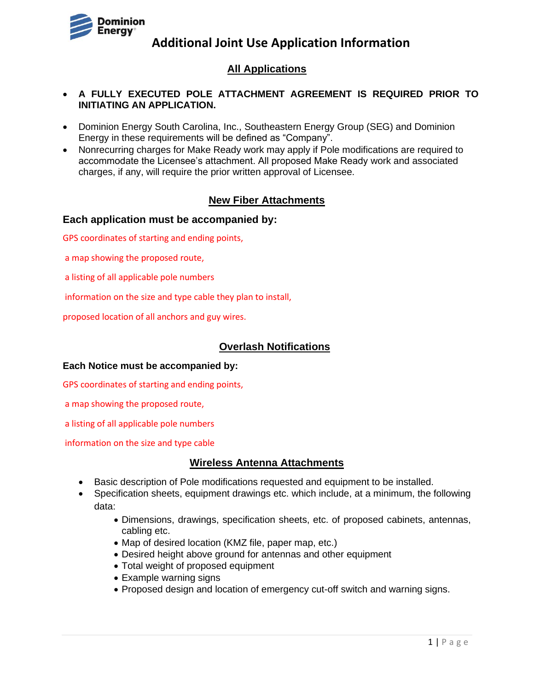

## **All Applications**

#### • **A FULLY EXECUTED POLE ATTACHMENT AGREEMENT IS REQUIRED PRIOR TO INITIATING AN APPLICATION.**

- Dominion Energy South Carolina, Inc., Southeastern Energy Group (SEG) and Dominion Energy in these requirements will be defined as "Company".
- Nonrecurring charges for Make Ready work may apply if Pole modifications are required to accommodate the Licensee's attachment. All proposed Make Ready work and associated charges, if any, will require the prior written approval of Licensee.

## **New Fiber Attachments**

#### **Each application must be accompanied by:**

GPS coordinates of starting and ending points,

a map showing the proposed route,

a listing of all applicable pole numbers

information on the size and type cable they plan to install,

proposed location of all anchors and guy wires.

#### **Overlash Notifications**

#### **Each Notice must be accompanied by:**

GPS coordinates of starting and ending points,

a map showing the proposed route,

a listing of all applicable pole numbers

information on the size and type cable

#### **Wireless Antenna Attachments**

- Basic description of Pole modifications requested and equipment to be installed.
- Specification sheets, equipment drawings etc. which include, at a minimum, the following data:
	- Dimensions, drawings, specification sheets, etc. of proposed cabinets, antennas, cabling etc.
	- Map of desired location (KMZ file, paper map, etc.)
	- Desired height above ground for antennas and other equipment
	- Total weight of proposed equipment
	- Example warning signs
	- Proposed design and location of emergency cut-off switch and warning signs.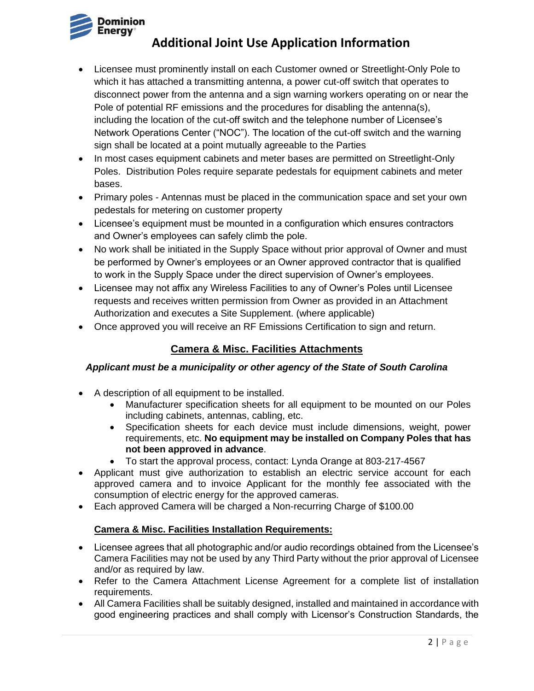

- Licensee must prominently install on each Customer owned or Streetlight-Only Pole to which it has attached a transmitting antenna, a power cut-off switch that operates to disconnect power from the antenna and a sign warning workers operating on or near the Pole of potential RF emissions and the procedures for disabling the antenna(s), including the location of the cut-off switch and the telephone number of Licensee's Network Operations Center ("NOC"). The location of the cut-off switch and the warning sign shall be located at a point mutually agreeable to the Parties
- In most cases equipment cabinets and meter bases are permitted on Streetlight-Only Poles. Distribution Poles require separate pedestals for equipment cabinets and meter bases.
- Primary poles Antennas must be placed in the communication space and set your own pedestals for metering on customer property
- Licensee's equipment must be mounted in a configuration which ensures contractors and Owner's employees can safely climb the pole.
- No work shall be initiated in the Supply Space without prior approval of Owner and must be performed by Owner's employees or an Owner approved contractor that is qualified to work in the Supply Space under the direct supervision of Owner's employees.
- Licensee may not affix any Wireless Facilities to any of Owner's Poles until Licensee requests and receives written permission from Owner as provided in an Attachment Authorization and executes a Site Supplement. (where applicable)
- Once approved you will receive an RF Emissions Certification to sign and return.

# **Camera & Misc. Facilities Attachments**

#### *Applicant must be a municipality or other agency of the State of South Carolina*

- A description of all equipment to be installed.
	- Manufacturer specification sheets for all equipment to be mounted on our Poles including cabinets, antennas, cabling, etc.
	- Specification sheets for each device must include dimensions, weight, power requirements, etc. **No equipment may be installed on Company Poles that has not been approved in advance**.
	- To start the approval process, contact: Lynda Orange at 803-217-4567
- Applicant must give authorization to establish an electric service account for each approved camera and to invoice Applicant for the monthly fee associated with the consumption of electric energy for the approved cameras.
- Each approved Camera will be charged a Non-recurring Charge of \$100.00

#### **Camera & Misc. Facilities Installation Requirements:**

- Licensee agrees that all photographic and/or audio recordings obtained from the Licensee's Camera Facilities may not be used by any Third Party without the prior approval of Licensee and/or as required by law.
- Refer to the Camera Attachment License Agreement for a complete list of installation requirements.
- All Camera Facilities shall be suitably designed, installed and maintained in accordance with good engineering practices and shall comply with Licensor's Construction Standards, the